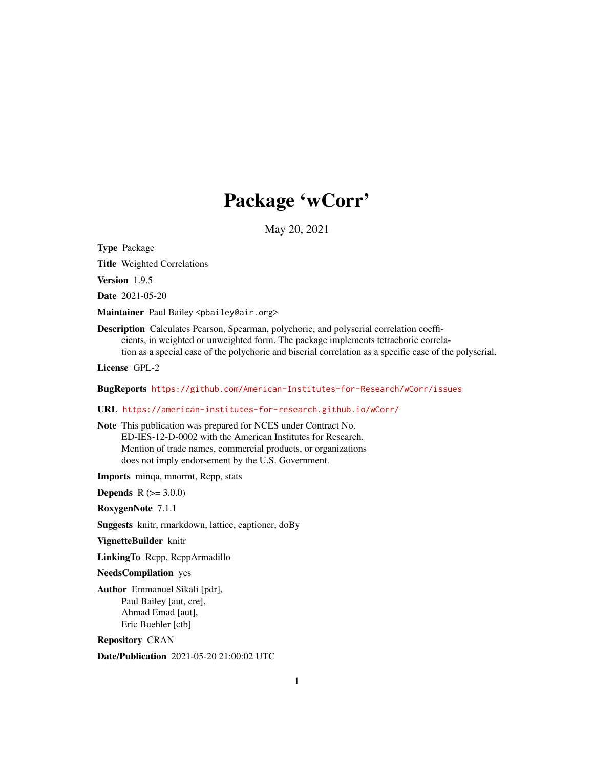# Package 'wCorr'

May 20, 2021

Type Package

Title Weighted Correlations

Version 1.9.5

Date 2021-05-20

Maintainer Paul Bailey <pbailey@air.org>

Description Calculates Pearson, Spearman, polychoric, and polyserial correlation coefficients, in weighted or unweighted form. The package implements tetrachoric correlation as a special case of the polychoric and biserial correlation as a specific case of the polyserial.

License GPL-2

BugReports <https://github.com/American-Institutes-for-Research/wCorr/issues>

# URL <https://american-institutes-for-research.github.io/wCorr/>

Note This publication was prepared for NCES under Contract No. ED-IES-12-D-0002 with the American Institutes for Research. Mention of trade names, commercial products, or organizations does not imply endorsement by the U.S. Government.

Imports minqa, mnormt, Rcpp, stats

**Depends**  $R$  ( $>= 3.0.0$ )

RoxygenNote 7.1.1

Suggests knitr, rmarkdown, lattice, captioner, doBy

VignetteBuilder knitr

LinkingTo Rcpp, RcppArmadillo

NeedsCompilation yes

Author Emmanuel Sikali [pdr], Paul Bailey [aut, cre], Ahmad Emad [aut], Eric Buehler [ctb]

Repository CRAN

Date/Publication 2021-05-20 21:00:02 UTC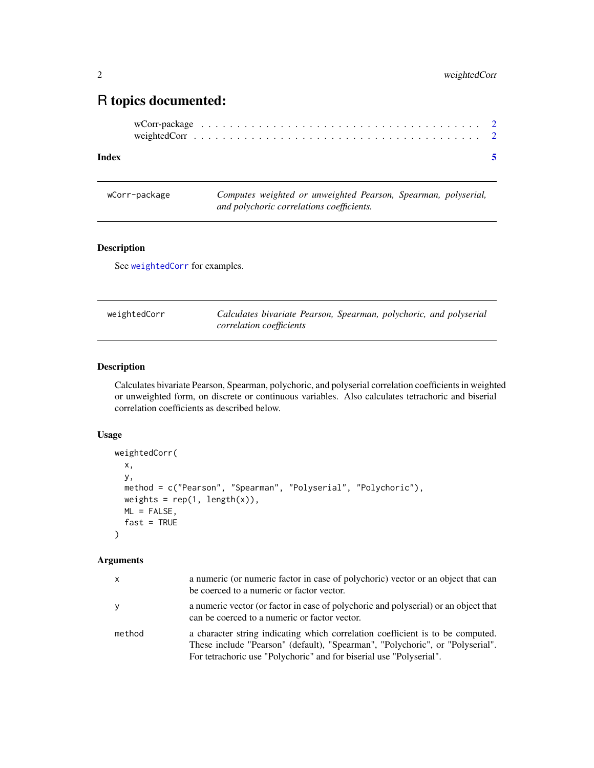# <span id="page-1-0"></span>R topics documented:

# **Index** [5](#page-4-0). The second state of the second state of the second state of the second state of the second state of the second state of the second state of the second state of the second state of the second state of the second

wCorr-package *Computes weighted or unweighted Pearson, Spearman, polyserial, and polychoric correlations coefficients.*

# Description

See [weightedCorr](#page-1-1) for examples.

<span id="page-1-1"></span>

| weightedCorr | Calculates bivariate Pearson, Spearman, polychoric, and polyserial |  |  |
|--------------|--------------------------------------------------------------------|--|--|
|              | <i>correlation coefficients</i>                                    |  |  |

# Description

Calculates bivariate Pearson, Spearman, polychoric, and polyserial correlation coefficients in weighted or unweighted form, on discrete or continuous variables. Also calculates tetrachoric and biserial correlation coefficients as described below.

# Usage

```
weightedCorr(
  x,
 y,
 method = c("Pearson", "Spearman", "Polyserial", "Polychoric"),
 weights = rep(1, length(x)),ML = FALSE,fast = TRUE\lambda
```
# Arguments

| x      | a numeric (or numeric factor in case of polychoric) vector or an object that can<br>be coerced to a numeric or factor vector.                                                                                                          |
|--------|----------------------------------------------------------------------------------------------------------------------------------------------------------------------------------------------------------------------------------------|
| y      | a numeric vector (or factor in case of polychoric and polyserial) or an object that<br>can be coerced to a numeric or factor vector.                                                                                                   |
| method | a character string indicating which correlation coefficient is to be computed.<br>These include "Pearson" (default), "Spearman", "Polychoric", or "Polyserial".<br>For tetrachoric use "Polychoric" and for biserial use "Polyserial". |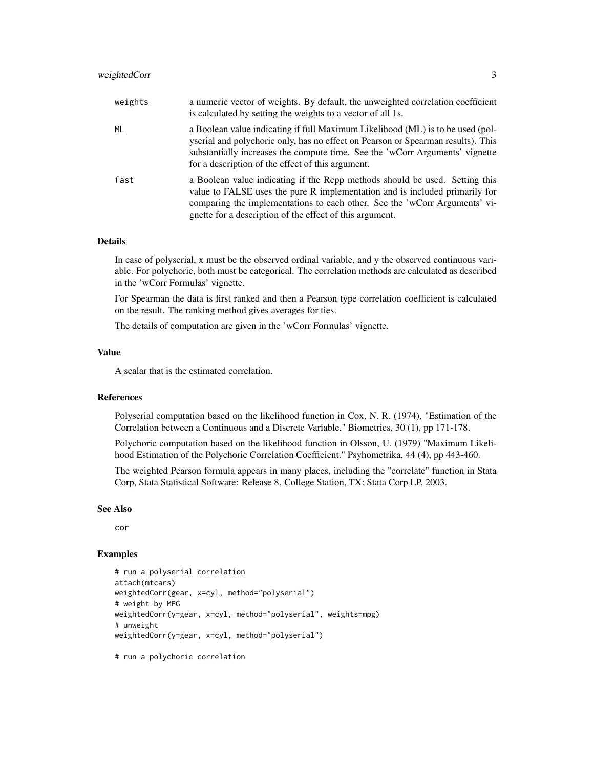| weights | a numeric vector of weights. By default, the unweighted correlation coefficient<br>is calculated by setting the weights to a vector of all 1s.                                                                                                                                                          |
|---------|---------------------------------------------------------------------------------------------------------------------------------------------------------------------------------------------------------------------------------------------------------------------------------------------------------|
| ML      | a Boolean value indicating if full Maximum Likelihood (ML) is to be used (pol-<br>yserial and polychoric only, has no effect on Pearson or Spearman results). This<br>substantially increases the compute time. See the 'wCorr Arguments' vignette<br>for a description of the effect of this argument. |
| fast    | a Boolean value indicating if the Ropp methods should be used. Setting this<br>value to FALSE uses the pure R implementation and is included primarily for<br>comparing the implementations to each other. See the 'wCorr Arguments' vi-<br>gnette for a description of the effect of this argument.    |

#### Details

In case of polyserial, x must be the observed ordinal variable, and y the observed continuous variable. For polychoric, both must be categorical. The correlation methods are calculated as described in the 'wCorr Formulas' vignette.

For Spearman the data is first ranked and then a Pearson type correlation coefficient is calculated on the result. The ranking method gives averages for ties.

The details of computation are given in the 'wCorr Formulas' vignette.

# Value

A scalar that is the estimated correlation.

#### References

Polyserial computation based on the likelihood function in Cox, N. R. (1974), "Estimation of the Correlation between a Continuous and a Discrete Variable." Biometrics, 30 (1), pp 171-178.

Polychoric computation based on the likelihood function in Olsson, U. (1979) "Maximum Likelihood Estimation of the Polychoric Correlation Coefficient." Psyhometrika, 44 (4), pp 443-460.

The weighted Pearson formula appears in many places, including the "correlate" function in Stata Corp, Stata Statistical Software: Release 8. College Station, TX: Stata Corp LP, 2003.

#### See Also

cor

#### Examples

```
# run a polyserial correlation
attach(mtcars)
weightedCorr(gear, x=cyl, method="polyserial")
# weight by MPG
weightedCorr(y=gear, x=cyl, method="polyserial", weights=mpg)
# unweight
weightedCorr(y=gear, x=cyl, method="polyserial")
```
# run a polychoric correlation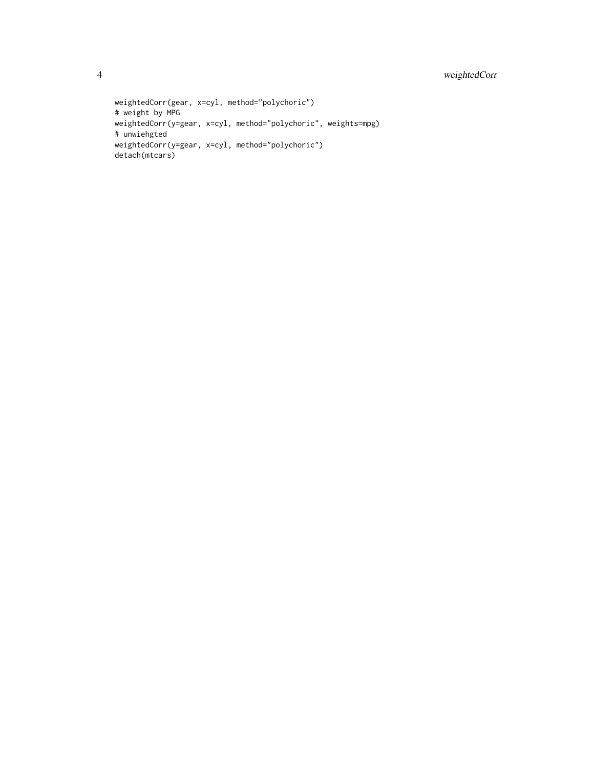```
weightedCorr(gear, x=cyl, method="polychoric")
# weight by MPG
weightedCorr(y=gear, x=cyl, method="polychoric", weights=mpg)
# unwiehgted
weightedCorr(y=gear, x=cyl, method="polychoric")
detach(mtcars)
```